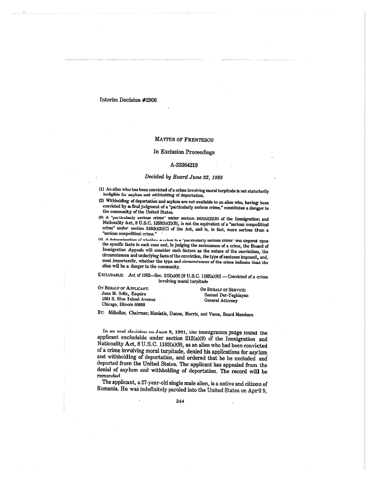#### MATTER OF FRENTESCU

#### In Exclusion Proceedings

#### A-23364219

## *Decided by Board June 23, 1982*

- (1) An alien who has been convicted of a crime involving moral turpitude is not statutorily ineligible for asylum and withholding of deportation.
- (2) Withholding of deportation and asylum are not available to an alien who, *having* been convicted by afinal judgment of a "particularly serious crime," constitutes a danger to the community of the United States.
- (0) A **'pox ticularly** serious crime" under section 243(h)(2)(B) of the Immigration and Nationality Act, 8 U.S.C. 1253(h)(2)(B), is not the equivalent of a "serious nonpolitical crime" under section 243(h)(2)(C) of the Aet, and is, in fact, more serious than a "serious nonpolitical crime."
- (4) A determination of whether a crime is a "particularly serious crime" will depend upon the specific facts in each case and, in judging the seriousness of a crime, the Board of Immigration Appeals will consider such factors as the nature of the conviction, the circumstances and underlying facts of the conviction, the type of sentence imposed, and, most importantly, whether the type and circumstances' of the crime indicate that the alien will be *a* danger to the community.

**EXCLUDABLE:** Act of 1952—Sec. 212(a)(9) [8 U.S.C. 1182(a)(9)] — Convicted of a crime involving moral turpitude

| On Behalf of Applicant:    | ON BEHALF OF SERVICE:                    |
|----------------------------|------------------------------------------|
| Juan M. Soliz, Esquire     | Samuel Der-Yeghiayan<br>General Attorney |
| 1661 S. Blue Island Avenue |                                          |
| Chicago, Illinois 60608    |                                          |

By: Milhollan, Chairman; Maniatis, Dunne, Morris, and Vacca, Board Members

In an oral decision on June 9, 1981, the immigration judge found the applicant excludable under section 212(a)(9) of the Immigration and Nationality Act, 8 U.S.C. 1182(a)(9), as an alien who had been convicted of a crime involving moral turpitude, denied his applications for asylum . and withholding of deportation, and ordered that he be excluded and deported from the United States. The applicant has appealed from the denial of asylum and withholding of deportation. The record will be remanded\_

The applicant, a 27-year-old single male alien, is a native and citizen of Romania. He was indefinitely paroled into the United States on April 9,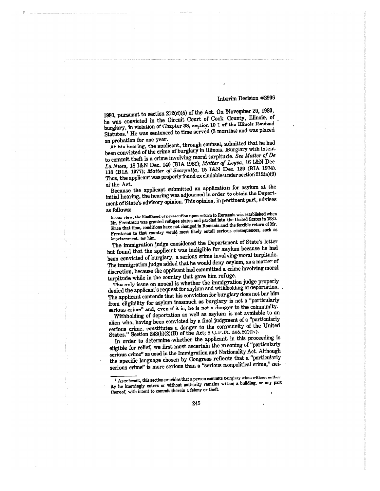1980, pursuant to section 212(d)(5) of the Act. On Novewber 20, 1980, he was convicted in the Circuit Court of Cook County, Illinois, of burglary, in violation of Chapter 38, section 19-1 of the Illinois Revised Statutes.' He was sentenced to time served (3 months) and. was placed on probation for one year.

At his hearing, the applicant, through counsel,  $\alpha$ dmitted that he had been convicted of the crime of burglary in Illinois. Burglary with intent to commit theft is a crime involving moral turpitude. *See Matter of De La thus,* 18 UN Dee. 140 (BIA 1981); *Matter of Leyva,* 16 I&N Dec. 118 (BIA 1977); *Matter of Scarpulla,* 15 I&N Dec. 139 (BIA 1974). Thus, the applicant was properly found ex cludable under sectiori 212(a)(9) of the Act.

Because the applicant submitted an application for asylum at the initial hearing, the hearing was adjourned in order to obtain the Department of State's advisory opinion. This opinion, in pertinent part, advises as follows:

In our view, the likelihood of persecution upon return to Romania was established when Mr. Frentescu was granted refugee status and paroled into the United States in 1980. Since that time, conditions have not changed in Romania and the forcible return of Mr. Frentescu to that country would most likely entail serious consequences, such as imprisonment, for him.

The immigration judge considered the Department of State's letter but found that the applicant was ineligible for asylum because he had been convicted of burglary, a serious crime involving- moral turpitude. The immigration judge added that he would deny asylum, as a matter of discretion, because the applicant had committed a crime involving moral turpitude while in the country that gave him refuge.

The only issue on appeal is whether the immigration judge properly denied the applicant's request for asylum and withholding of deportation. The applicant contends that his conviction for burglary does not bar him from eligibility for asylum inasmuch as burglary is not a "particularly serious crime" and, even if it is, he is not a danger to the community.

Withholding of deportation as well as asylum is not available to an alien who, having been convicted by a final judgment of a "particularly serious crime, constitutes a danger to the community of the United States." Section 243(h)(2)(B) of the Act; 8 C.F.R. 208.8(f)(iv).

In order to determine whether the applicant in this proceeding is eligible for relief, we first must ascertain the meaning of "particularly serious crime" as used in the Immigration and Nationality Act. Although the specific language chosen by Congress reflects that a "particularly serious crime" is more serious than a "serious nonpolitical crime," nei-

As relevant, *this* section provides that a person commits burglary when without author ity he knowingly enters or without authority remains within a building, or any part thereof, with intent to commit therein a felony or theft.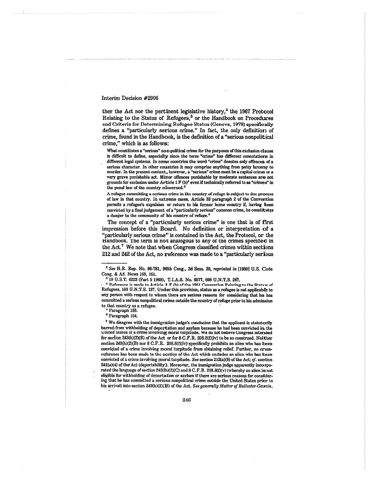ther the Act nor the pertinent legislative history,<sup>2</sup> the 1967 Protocol Relating to the Status of Refugees,<sup>3</sup> or the Handbook on Procedures and Criteria for Determining Refugee Status (Geneva, 1979) specifically defines a "particularly serious crime." In fact, the only definition of crime, found in the Handbook, is the definition of a "serious nonpolitical crime," which is as follows:

What constitutes a "serious" non-political crime for the purposes of this exclusion clause is difficult to define, especially since the term "crime" has different connotations in different legal systems. In some countries the word "crime" denotes only offences of a serious character. In other countries it may comprise anything from petty larceny to murder. In the present context, however, a "serious" crime must be a capital crime or a very grave punishable act. Minor offences punishable by moderate sentences are not grounds for exclusion under Article 1  $F$  (b)<sup>4</sup> even if technically referred to as "crimes" in the penal law of the country concerned.<sup>1</sup>

A refugee committing a serious crime in the country of refuge is subject to due process of law in that country. In extreme cases, Article 33 paragraph 2 of the Convention permits a refugee's expulsion or return to his former home country if, having been convicted by a final judgement of a "particularly serious" common crime, he constitutes a danger to the community of his country of refuge."

The concept of a "particularly serious crime" is one that is of first impression before this Board. No definition or interpretation of a "particularly serious crime" is contained in the Act, the Protocol, or the Handbook. The term is not analogous to any of the crimes specified in the  $Act.^{7}$  We note that when Congress classified crimes within sections 212 and 242 of the Act, no reference was made to a "particularly serious

<sup>3</sup>19 U.S.T. 6223 (Part 5 196\$), T.I.A.S. No. 6577, 606 U.N.T.S. 267.

**• 4** Reference is made to Article 1 F (h) of the 1951 Convention Relating to the Status of Refugees, 189 U.N.T.S. 137. Under this provision, status as a refugee is not applicable to any person with respect to whom there are serious reasons for considering that he has committed a serious nonpolitical crime outside the country of refuge prior to his admission to that country as a refugee.

Paragraph 155.

Paragraph 154.

We disagree with the immigration judge's conclusion that the applicant is statutorily barred from withholding of deportation and asylum because he had been convicted in the united **States** of a crime involving moral turpitude. we do not believe Congress intended for section 243(h)(2)(B) of the Act or for 8 C.F.R. 208.8(f)(iv) to be so construed. Neither section 243(h)(2)(B) nor 8 C.F.R. 208.8(f)(iv) specifically prohibits an alien who has been convicted of a crime involving moral turpitude from obtaining relief. Further, no crossreference has been made to the section of the Act which excludes an alien who has been convicted of a crime involving moral turpitude. *See* section 212(a)(9) of the Act; *cf.* section 241(a)(4) of the Act (deportability). Moreover, the immigration judge apparently incorporated the language of section 243(h)(2)(C) and 8 C.F.R. 208.8(f)(v) (whereby an alien is not eligible for withholding of deportation or asylum if there are serious reasons for considering that he has committed a serious nonpolitical crime outside the United States prior to his arrival) into section 243(h)(2)(13) of the Act. *See generally Matter* of *Ballester-Garcia,* 

<sup>&</sup>lt;sup>2</sup> See H.R. Rep. No. 96-781, 96th Cong., 2d Sess. 20, *reprinted in* [1980] U.S. Code Cong. & Ad. News 160, 161.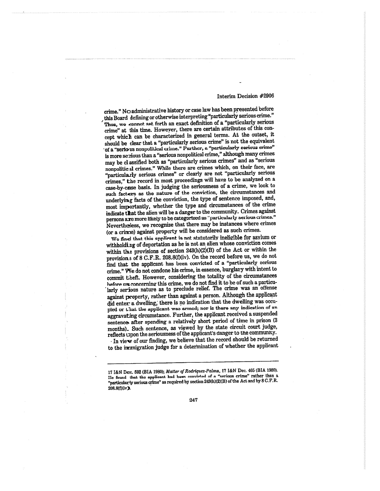crime." No administrative history or case law has been presented before , this Board defining or otherwise interpreting "particularly serious crime." Thus, we cannot set forth an exact definition of a "particularly serious crime" at this time. Howeyer, there are certain attributes of this concept which can be characterized in general terms. At the outset, it should be clear that a "particularly serious crime" is not the equivalent of a "serious nonpolitical crime." Further, a "particularly serious crime" is more serious than a "serious nonpolitical crime," although many crimes may be classified both as "particularly serious crimes" and as "serious nonpolitie al crimes." While there are crimes which, on their face, are "particularly serious crimes" or clearly are not "particularly serious crimes," the record in most proceedings will have to be analyzed on a case-by-case basis. In judging the seriousness of a crime, we look to such factors as the nature of the conviction, the circumstances and underlying facts of the conviction, the type of sentence imposed, and, most importantly, whether the type and circumstances of the crime indicate that the alien will be a danger to the community. Crimes against persons axe more likely to **be** categorized as "particularly serious crimes." Nevertheless, we recognize that there may be instances where crimes (or a crime) against property will be considered as such crimes.

We find that this applicant is not statutorily ineligible for asylum or withholding of deportation as he is not an alien whose conviction comes within the provisions of section 243(h)(2)(B) of the Act or within the provisions of 8 C.F.R. 208.8(f)(iv). On the record before us, we do not find that the applicant has been convicted of a "particularly serious crime." We do not condone his crime, in essence, burglary with intent to commit theft. However, considering the totality of the circumstances before us concerning this crime, we do not find it to be of such a particularly serious nature as to preclude relief. The crime was an offense against property, rather than against a person. Although the applicant did enter a dwelling; there is no indication that the dwelling was occupied or that the applicant was armed; nor is there any indication of an aggravating circumstance. Further, the applicant received a suspended sentence after spending a relatively short period of time in prison (3 months). Such sentence, as viewed by the state circuit court judge, reflects upon the seriousness of the applicant's danger to the community.

• In view of our finding, we believe that the record should be returned to the immigration judge for a determination of whether the applicant

<sup>17</sup> I&N Dec. 592 (BIA 1980); *Matter of Rodriquez-Palma,* 17 I&N Dec. 465 (MA 1980). He found that the applicant had been convicted of a "serious crime" rather than a "particularly serious crime" as required by section 243(h)(2)(B) of the Act and by 8 C.F.R. 208.8(t)(iv).